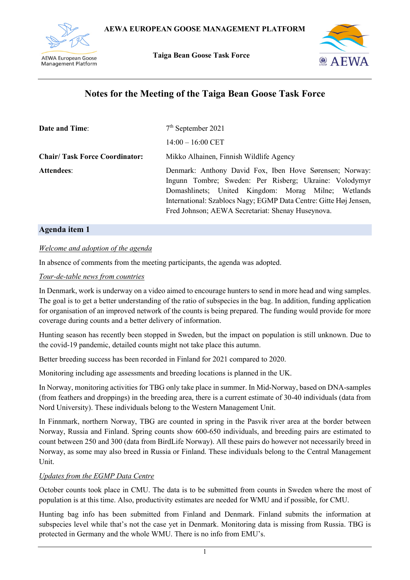

 **Taiga Bean Goose Task Force**



# **Notes for the Meeting of the Taiga Bean Goose Task Force**

| <b>Date and Time:</b>                | $7th$ September 2021                                                                                                                                                                                                                                                                               |
|--------------------------------------|----------------------------------------------------------------------------------------------------------------------------------------------------------------------------------------------------------------------------------------------------------------------------------------------------|
|                                      | $14:00 - 16:00$ CET                                                                                                                                                                                                                                                                                |
| <b>Chair/Task Force Coordinator:</b> | Mikko Alhainen, Finnish Wildlife Agency                                                                                                                                                                                                                                                            |
| <b>Attendees:</b>                    | Denmark: Anthony David Fox, Iben Hove Sørensen; Norway:<br>Ingunn Tombre; Sweden: Per Risberg; Ukraine: Volodymyr<br>Domashlinets; United Kingdom: Morag Milne; Wetlands<br>International: Szablocs Nagy; EGMP Data Centre: Gitte Høj Jensen,<br>Fred Johnson; AEWA Secretariat: Shenay Huseynova. |

# **Agenda item 1**

## *Welcome and adoption of the agenda*

In absence of comments from the meeting participants, the agenda was adopted.

## *Tour-de-table news from countries*

In Denmark, work is underway on a video aimed to encourage hunters to send in more head and wing samples. The goal is to get a better understanding of the ratio of subspecies in the bag. In addition, funding application for organisation of an improved network of the counts is being prepared. The funding would provide for more coverage during counts and a better delivery of information.

Hunting season has recently been stopped in Sweden, but the impact on population is still unknown. Due to the covid-19 pandemic, detailed counts might not take place this autumn.

Better breeding success has been recorded in Finland for 2021 compared to 2020.

Monitoring including age assessments and breeding locations is planned in the UK.

In Norway, monitoring activities for TBG only take place in summer. In Mid-Norway, based on DNA-samples (from feathers and droppings) in the breeding area, there is a current estimate of 30-40 individuals (data from Nord University). These individuals belong to the Western Management Unit.

In Finnmark, northern Norway, TBG are counted in spring in the Pasvik river area at the border between Norway, Russia and Finland. Spring counts show 600-650 individuals, and breeding pairs are estimated to count between 250 and 300 (data from BirdLife Norway). All these pairs do however not necessarily breed in Norway, as some may also breed in Russia or Finland. These individuals belong to the Central Management Unit.

# *Updates from the EGMP Data Centre*

October counts took place in CMU. The data is to be submitted from counts in Sweden where the most of population is at this time. Also, productivity estimates are needed for WMU and if possible, for CMU.

Hunting bag info has been submitted from Finland and Denmark. Finland submits the information at subspecies level while that's not the case yet in Denmark. Monitoring data is missing from Russia. TBG is protected in Germany and the whole WMU. There is no info from EMU's.